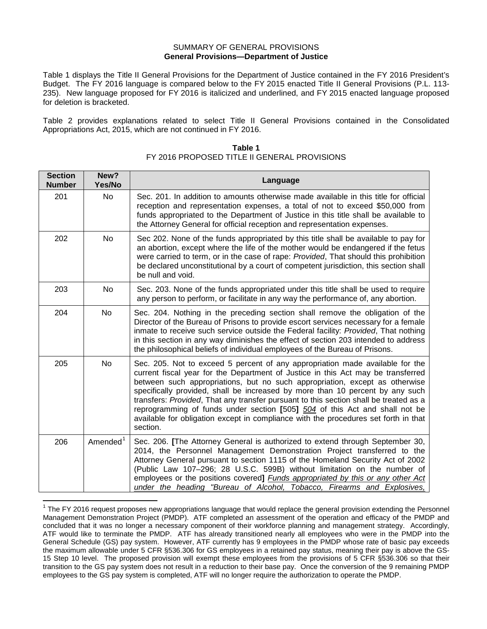#### SUMMARY OF GENERAL PROVISIONS **General Provisions—Department of Justice**

Table 1 displays the Title II General Provisions for the Department of Justice contained in the FY 2016 President's Budget. The FY 2016 language is compared below to the FY 2015 enacted Title II General Provisions (P.L. 113- 235). New language proposed for FY 2016 is italicized and underlined, and FY 2015 enacted language proposed for deletion is bracketed.

Table 2 provides explanations related to select Title II General Provisions contained in the Consolidated Appropriations Act, 2015, which are not continued in FY 2016.

| <b>Section</b><br><b>Number</b> | New?<br>Yes/No       | Language                                                                                                                                                                                                                                                                                                                                                                                                                                                                                                                                                                                                     |
|---------------------------------|----------------------|--------------------------------------------------------------------------------------------------------------------------------------------------------------------------------------------------------------------------------------------------------------------------------------------------------------------------------------------------------------------------------------------------------------------------------------------------------------------------------------------------------------------------------------------------------------------------------------------------------------|
| 201                             | <b>No</b>            | Sec. 201. In addition to amounts otherwise made available in this title for official<br>reception and representation expenses, a total of not to exceed \$50,000 from<br>funds appropriated to the Department of Justice in this title shall be available to<br>the Attorney General for official reception and representation expenses.                                                                                                                                                                                                                                                                     |
| 202                             | No                   | Sec 202. None of the funds appropriated by this title shall be available to pay for<br>an abortion, except where the life of the mother would be endangered if the fetus<br>were carried to term, or in the case of rape: Provided, That should this prohibition<br>be declared unconstitutional by a court of competent jurisdiction, this section shall<br>be null and void.                                                                                                                                                                                                                               |
| 203                             | No                   | Sec. 203. None of the funds appropriated under this title shall be used to require<br>any person to perform, or facilitate in any way the performance of, any abortion.                                                                                                                                                                                                                                                                                                                                                                                                                                      |
| 204                             | No                   | Sec. 204. Nothing in the preceding section shall remove the obligation of the<br>Director of the Bureau of Prisons to provide escort services necessary for a female<br>inmate to receive such service outside the Federal facility: Provided, That nothing<br>in this section in any way diminishes the effect of section 203 intended to address<br>the philosophical beliefs of individual employees of the Bureau of Prisons.                                                                                                                                                                            |
| 205                             | <b>No</b>            | Sec. 205. Not to exceed 5 percent of any appropriation made available for the<br>current fiscal year for the Department of Justice in this Act may be transferred<br>between such appropriations, but no such appropriation, except as otherwise<br>specifically provided, shall be increased by more than 10 percent by any such<br>transfers: Provided, That any transfer pursuant to this section shall be treated as a<br>reprogramming of funds under section [505] 504 of this Act and shall not be<br>available for obligation except in compliance with the procedures set forth in that<br>section. |
| 206                             | Amended <sup>1</sup> | Sec. 206. [The Attorney General is authorized to extend through September 30,<br>2014, the Personnel Management Demonstration Project transferred to the<br>Attorney General pursuant to section 1115 of the Homeland Security Act of 2002<br>(Public Law 107-296; 28 U.S.C. 599B) without limitation on the number of<br>employees or the positions covered] Funds appropriated by this or any other Act<br>under the heading "Bureau of Alcohol, Tobacco, Firearms and Explosives,                                                                                                                         |

### **Table 1** FY 2016 PROPOSED TITLE II GENERAL PROVISIONS

<span id="page-0-0"></span> $1$  The FY 2016 request proposes new appropriations language that would replace the general provision extending the Personnel Management Demonstration Project (PMDP). ATF completed an assessment of the operation and efficacy of the PMDP and concluded that it was no longer a necessary component of their workforce planning and management strategy. Accordingly, ATF would like to terminate the PMDP. ATF has already transitioned nearly all employees who were in the PMDP into the General Schedule (GS) pay system. However, ATF currently has 9 employees in the PMDP whose rate of basic pay exceeds the maximum allowable under 5 CFR §536.306 for GS employees in a retained pay status, meaning their pay is above the GS-15 Step 10 level. The proposed provision will exempt these employees from the provisions of 5 CFR §536.306 so that their transition to the GS pay system does not result in a reduction to their base pay. Once the conversion of the 9 remaining PMDP employees to the GS pay system is completed, ATF will no longer require the authorization to operate the PMDP.  $\overline{\phantom{a}}$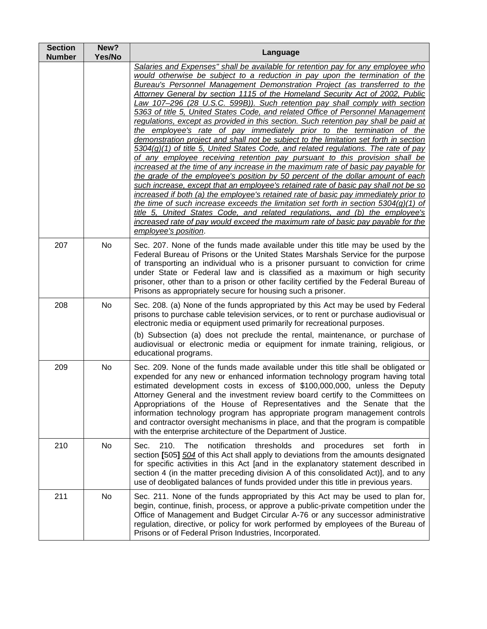| <b>Section</b><br><b>Number</b> | New?<br>Yes/No | Language                                                                                                                                                                                                                                                                                                                                                                                                                                                                                                                                                                                                                                                                                                                                                                                                                                                                                                                                                                                                                                                                                                                                                                                                                                                                                                                                                                                                                                                                                                                                                                          |
|---------------------------------|----------------|-----------------------------------------------------------------------------------------------------------------------------------------------------------------------------------------------------------------------------------------------------------------------------------------------------------------------------------------------------------------------------------------------------------------------------------------------------------------------------------------------------------------------------------------------------------------------------------------------------------------------------------------------------------------------------------------------------------------------------------------------------------------------------------------------------------------------------------------------------------------------------------------------------------------------------------------------------------------------------------------------------------------------------------------------------------------------------------------------------------------------------------------------------------------------------------------------------------------------------------------------------------------------------------------------------------------------------------------------------------------------------------------------------------------------------------------------------------------------------------------------------------------------------------------------------------------------------------|
|                                 |                | Salaries and Expenses" shall be available for retention pay for any employee who<br>would otherwise be subject to a reduction in pay upon the termination of the<br>Bureau's Personnel Management Demonstration Project (as transferred to the<br>Attorney General by section 1115 of the Homeland Security Act of 2002, Public<br>Law 107-296 (28 U.S.C. 599B)). Such retention pay shall comply with section<br>5363 of title 5, United States Code, and related Office of Personnel Management<br>regulations, except as provided in this section. Such retention pay shall be paid at<br>the employee's rate of pay immediately prior to the termination of the<br>demonstration project and shall not be subject to the limitation set forth in section<br>$5304(g)(1)$ of title 5, United States Code, and related regulations. The rate of pay<br>of any employee receiving retention pay pursuant to this provision shall be<br>increased at the time of any increase in the maximum rate of basic pay payable for<br>the grade of the employee's position by 50 percent of the dollar amount of each<br>such increase, except that an employee's retained rate of basic pay shall not be so<br>increased if both (a) the employee's retained rate of basic pay immediately prior to<br>the time of such increase exceeds the limitation set forth in section $5304(g)(1)$ of<br>title 5, United States Code, and related regulations, and (b) the employee's<br>increased rate of pay would exceed the maximum rate of basic pay payable for the<br>employee's position. |
| 207                             | No             | Sec. 207. None of the funds made available under this title may be used by the<br>Federal Bureau of Prisons or the United States Marshals Service for the purpose<br>of transporting an individual who is a prisoner pursuant to conviction for crime<br>under State or Federal law and is classified as a maximum or high security<br>prisoner, other than to a prison or other facility certified by the Federal Bureau of<br>Prisons as appropriately secure for housing such a prisoner.                                                                                                                                                                                                                                                                                                                                                                                                                                                                                                                                                                                                                                                                                                                                                                                                                                                                                                                                                                                                                                                                                      |
| 208                             | No             | Sec. 208. (a) None of the funds appropriated by this Act may be used by Federal<br>prisons to purchase cable television services, or to rent or purchase audiovisual or<br>electronic media or equipment used primarily for recreational purposes.<br>(b) Subsection (a) does not preclude the rental, maintenance, or purchase of<br>audiovisual or electronic media or equipment for inmate training, religious, or<br>educational programs.                                                                                                                                                                                                                                                                                                                                                                                                                                                                                                                                                                                                                                                                                                                                                                                                                                                                                                                                                                                                                                                                                                                                    |
| 209                             | No             | Sec. 209. None of the funds made available under this title shall be obligated or<br>expended for any new or enhanced information technology program having total<br>estimated development costs in excess of \$100,000,000, unless the Deputy<br>Attorney General and the investment review board certify to the Committees on<br>Appropriations of the House of Representatives and the Senate that the<br>information technology program has appropriate program management controls<br>and contractor oversight mechanisms in place, and that the program is compatible<br>with the enterprise architecture of the Department of Justice.                                                                                                                                                                                                                                                                                                                                                                                                                                                                                                                                                                                                                                                                                                                                                                                                                                                                                                                                     |
| 210                             | No             | notification<br>thresholds<br>210.<br>The<br>and<br>set forth<br>Sec.<br>procedures<br><sub>in</sub><br>section [505] 504 of this Act shall apply to deviations from the amounts designated<br>for specific activities in this Act [and in the explanatory statement described in<br>section 4 (in the matter preceding division A of this consolidated Act)], and to any<br>use of deobligated balances of funds provided under this title in previous years.                                                                                                                                                                                                                                                                                                                                                                                                                                                                                                                                                                                                                                                                                                                                                                                                                                                                                                                                                                                                                                                                                                                    |
| 211                             | No             | Sec. 211. None of the funds appropriated by this Act may be used to plan for,<br>begin, continue, finish, process, or approve a public-private competition under the<br>Office of Management and Budget Circular A-76 or any successor administrative<br>regulation, directive, or policy for work performed by employees of the Bureau of<br>Prisons or of Federal Prison Industries, Incorporated.                                                                                                                                                                                                                                                                                                                                                                                                                                                                                                                                                                                                                                                                                                                                                                                                                                                                                                                                                                                                                                                                                                                                                                              |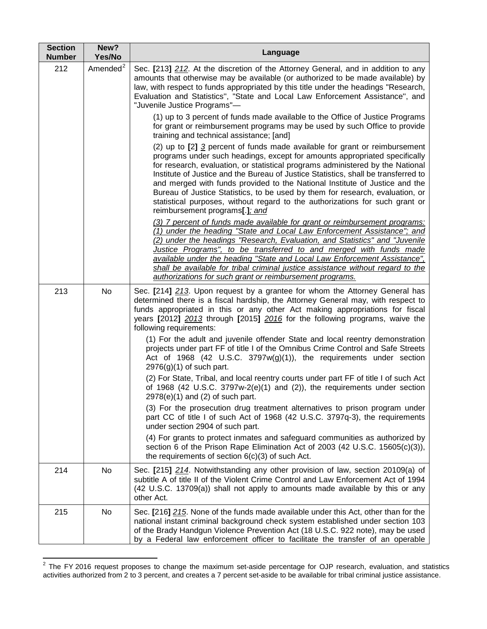| <b>Section</b><br><b>Number</b> | New?<br>Yes/No       | Language                                                                                                                                                                                                                                                                                                                                                                                                                                                                                                                                                                                                           |
|---------------------------------|----------------------|--------------------------------------------------------------------------------------------------------------------------------------------------------------------------------------------------------------------------------------------------------------------------------------------------------------------------------------------------------------------------------------------------------------------------------------------------------------------------------------------------------------------------------------------------------------------------------------------------------------------|
| 212                             | Amended <sup>2</sup> | Sec. [213] 212. At the discretion of the Attorney General, and in addition to any<br>amounts that otherwise may be available (or authorized to be made available) by<br>law, with respect to funds appropriated by this title under the headings "Research,<br>Evaluation and Statistics", "State and Local Law Enforcement Assistance", and<br>"Juvenile Justice Programs"-                                                                                                                                                                                                                                       |
|                                 |                      | (1) up to 3 percent of funds made available to the Office of Justice Programs<br>for grant or reimbursement programs may be used by such Office to provide<br>training and technical assistance; [and]                                                                                                                                                                                                                                                                                                                                                                                                             |
|                                 |                      | (2) up to [2] 3 percent of funds made available for grant or reimbursement<br>programs under such headings, except for amounts appropriated specifically<br>for research, evaluation, or statistical programs administered by the National<br>Institute of Justice and the Bureau of Justice Statistics, shall be transferred to<br>and merged with funds provided to the National Institute of Justice and the<br>Bureau of Justice Statistics, to be used by them for research, evaluation, or<br>statistical purposes, without regard to the authorizations for such grant or<br>reimbursement programs[.]; and |
|                                 |                      | (3) 7 percent of funds made available for grant or reimbursement programs:<br>(1) under the heading "State and Local Law Enforcement Assistance"; and<br>(2) under the headings "Research, Evaluation, and Statistics" and "Juvenile<br>Justice Programs", to be transferred to and merged with funds made<br>available under the heading "State and Local Law Enforcement Assistance",<br>shall be available for tribal criminal justice assistance without regard to the<br>authorizations for such grant or reimbursement programs.                                                                             |
| 213                             | No                   | Sec. [214] 213. Upon request by a grantee for whom the Attorney General has<br>determined there is a fiscal hardship, the Attorney General may, with respect to<br>funds appropriated in this or any other Act making appropriations for fiscal<br>years [2012] 2013 through [2015] 2016 for the following programs, waive the<br>following requirements:                                                                                                                                                                                                                                                          |
|                                 |                      | (1) For the adult and juvenile offender State and local reentry demonstration<br>projects under part FF of title I of the Omnibus Crime Control and Safe Streets<br>Act of 1968 (42 U.S.C. $3797w(g)(1)$ ), the requirements under section<br>$2976(g)(1)$ of such part.                                                                                                                                                                                                                                                                                                                                           |
|                                 |                      | (2) For State, Tribal, and local reentry courts under part FF of title I of such Act<br>of 1968 (42 U.S.C. 3797w-2(e)(1) and (2)), the requirements under section<br>$2978(e)(1)$ and (2) of such part.                                                                                                                                                                                                                                                                                                                                                                                                            |
|                                 |                      | (3) For the prosecution drug treatment alternatives to prison program under<br>part CC of title I of such Act of 1968 (42 U.S.C. 3797q-3), the requirements<br>under section 2904 of such part.                                                                                                                                                                                                                                                                                                                                                                                                                    |
|                                 |                      | (4) For grants to protect inmates and safeguard communities as authorized by<br>section 6 of the Prison Rape Elimination Act of 2003 (42 U.S.C. 15605(c)(3)),<br>the requirements of section $6(c)(3)$ of such Act.                                                                                                                                                                                                                                                                                                                                                                                                |
| 214                             | No                   | Sec. [215] 214. Notwithstanding any other provision of law, section 20109(a) of<br>subtitle A of title II of the Violent Crime Control and Law Enforcement Act of 1994<br>(42 U.S.C. 13709(a)) shall not apply to amounts made available by this or any<br>other Act.                                                                                                                                                                                                                                                                                                                                              |
| 215                             | No                   | Sec. [216] 215. None of the funds made available under this Act, other than for the<br>national instant criminal background check system established under section 103<br>of the Brady Handgun Violence Prevention Act (18 U.S.C. 922 note), may be used<br>by a Federal law enforcement officer to facilitate the transfer of an operable                                                                                                                                                                                                                                                                         |

<span id="page-2-0"></span> $2$  The FY 2016 request proposes to change the maximum set-aside percentage for OJP research, evaluation, and statistics activities authorized from 2 to 3 percent, and creates a 7 percent set-aside to be available for tribal criminal justice assistance.

 $\overline{\phantom{a}}$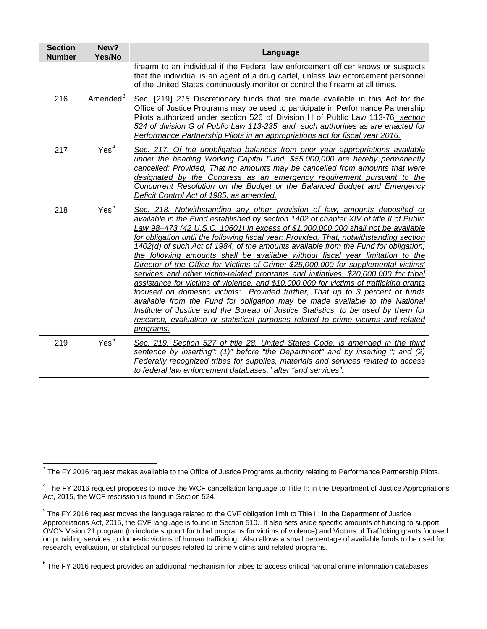| <b>Section</b><br><b>Number</b> | New?<br>Yes/No       | Language                                                                                                                                                                                                                                                                                                                                                                                                                                                                                                                                                                                                                                                                                                                                                                                                                                                                                                                                                                                                                                                                                                                                                    |
|---------------------------------|----------------------|-------------------------------------------------------------------------------------------------------------------------------------------------------------------------------------------------------------------------------------------------------------------------------------------------------------------------------------------------------------------------------------------------------------------------------------------------------------------------------------------------------------------------------------------------------------------------------------------------------------------------------------------------------------------------------------------------------------------------------------------------------------------------------------------------------------------------------------------------------------------------------------------------------------------------------------------------------------------------------------------------------------------------------------------------------------------------------------------------------------------------------------------------------------|
|                                 |                      | firearm to an individual if the Federal law enforcement officer knows or suspects<br>that the individual is an agent of a drug cartel, unless law enforcement personnel<br>of the United States continuously monitor or control the firearm at all times.                                                                                                                                                                                                                                                                                                                                                                                                                                                                                                                                                                                                                                                                                                                                                                                                                                                                                                   |
| 216                             | Amended <sup>3</sup> | Sec. [219] 216 Discretionary funds that are made available in this Act for the<br>Office of Justice Programs may be used to participate in Performance Partnership<br>Pilots authorized under section 526 of Division H of Public Law 113-76, section<br>524 of division G of Public Law 113-235, and such authorities as are enacted for<br>Performance Partnership Pilots in an appropriations act for fiscal year 2016.                                                                                                                                                                                                                                                                                                                                                                                                                                                                                                                                                                                                                                                                                                                                  |
| 217                             | Yes <sup>4</sup>     | Sec. 217. Of the unobligated balances from prior year appropriations available<br>under the heading Working Capital Fund, \$55,000,000 are hereby permanently<br>cancelled: Provided, That no amounts may be cancelled from amounts that were<br>designated by the Congress as an emergency requirement pursuant to the<br>Concurrent Resolution on the Budget or the Balanced Budget and Emergency<br>Deficit Control Act of 1985, as amended.                                                                                                                                                                                                                                                                                                                                                                                                                                                                                                                                                                                                                                                                                                             |
| 218                             | Yes <sup>5</sup>     | Sec. 218. Notwithstanding any other provision of law, amounts deposited or<br>available in the Fund established by section 1402 of chapter XIV of title II of Public<br>Law 98–473 (42 U.S.C. 10601) in excess of \$1,000,000,000 shall not be available<br>for obligation until the following fiscal year: Provided, That, notwithstanding section<br>1402(d) of such Act of 1984, of the amounts available from the Fund for obligation,<br>the following amounts shall be available without fiscal year limitation to the<br>Director of the Office for Victims of Crime: \$25,000,000 for supplemental victims'<br>services and other victim-related programs and initiatives, \$20,000,000 for tribal<br>assistance for victims of violence, and \$10,000,000 for victims of trafficking grants<br>focused on domestic victims: Provided further, That up to 3 percent of funds<br>available from the Fund for obligation may be made available to the National<br>Institute of Justice and the Bureau of Justice Statistics, to be used by them for<br>research, evaluation or statistical purposes related to crime victims and related<br>programs. |
| 219                             | Yes <sup>6</sup>     | Sec. 219. Section 527 of title 28, United States Code, is amended in the third<br>sentence by inserting": (1)" before "the Department" and by inserting "; and (2)<br>Federally recognized tribes for supplies, materials and services related to access<br>to federal law enforcement databases;" after "and services".                                                                                                                                                                                                                                                                                                                                                                                                                                                                                                                                                                                                                                                                                                                                                                                                                                    |

<span id="page-3-0"></span> $^3$  The FY 2016 request makes available to the Office of Justice Programs authority relating to Performance Partnership Pilots. l

<span id="page-3-1"></span><sup>&</sup>lt;sup>4</sup> The FY 2016 request proposes to move the WCF cancellation language to Title II; in the Department of Justice Appropriations Act, 2015, the WCF rescission is found in Section 524.

<span id="page-3-2"></span><sup>&</sup>lt;sup>5</sup> The FY 2016 request moves the language related to the CVF obligation limit to Title II; in the Department of Justice Appropriations Act, 2015, the CVF language is found in Section 510. It also sets aside specific amounts of funding to support OVC's Vision 21 program (to include support for tribal programs for victims of violence) and Victims of Trafficking grants focused on providing services to domestic victims of human trafficking. Also allows a small percentage of available funds to be used for research, evaluation, or statistical purposes related to crime victims and related programs.

<span id="page-3-3"></span> $6$  The FY 2016 request provides an additional mechanism for tribes to access critical national crime information databases.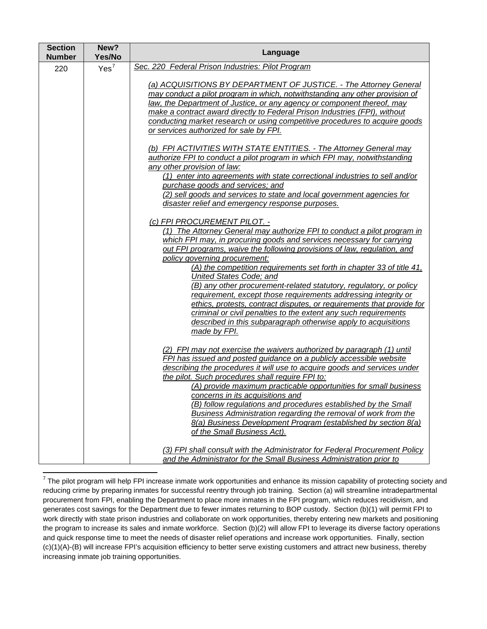| <b>Section</b><br><b>Number</b> | New?<br>Yes/No   | Language                                                                                                                                                                                                                                                                                                                                                                                                                                                                                                                                                                                                                                                                                                                                                                           |
|---------------------------------|------------------|------------------------------------------------------------------------------------------------------------------------------------------------------------------------------------------------------------------------------------------------------------------------------------------------------------------------------------------------------------------------------------------------------------------------------------------------------------------------------------------------------------------------------------------------------------------------------------------------------------------------------------------------------------------------------------------------------------------------------------------------------------------------------------|
| 220                             | Yes <sup>7</sup> | Sec. 220 Federal Prison Industries: Pilot Program                                                                                                                                                                                                                                                                                                                                                                                                                                                                                                                                                                                                                                                                                                                                  |
|                                 |                  | (a) ACQUISITIONS BY DEPARTMENT OF JUSTICE. - The Attorney General<br>may conduct a pilot program in which, notwithstanding any other provision of<br>law, the Department of Justice, or any agency or component thereof, may<br>make a contract award directly to Federal Prison Industries (FPI), without<br>conducting market research or using competitive procedures to acquire goods<br>or services authorized for sale by FPI.                                                                                                                                                                                                                                                                                                                                               |
|                                 |                  | (b) FPI ACTIVITIES WITH STATE ENTITIES. - The Attorney General may<br>authorize FPI to conduct a pilot program in which FPI may, notwithstanding<br>any other provision of law:<br>(1) enter into agreements with state correctional industries to sell and/or<br>purchase goods and services; and<br>(2) sell goods and services to state and local government agencies for<br>disaster relief and emergency response purposes.                                                                                                                                                                                                                                                                                                                                                   |
|                                 |                  | (c) FPI PROCUREMENT PILOT. -<br>(1) The Attorney General may authorize FPI to conduct a pilot program in<br>which FPI may, in procuring goods and services necessary for carrying<br>out FPI programs, waive the following provisions of law, regulation, and<br>policy governing procurement:<br>(A) the competition requirements set forth in chapter 33 of title 41,<br>United States Code; and<br>(B) any other procurement-related statutory, regulatory, or policy<br>requirement, except those requirements addressing integrity or<br>ethics, protests, contract disputes, or requirements that provide for<br>criminal or civil penalties to the extent any such requirements<br>described in this subparagraph otherwise apply to acquisitions<br>made by FPI.           |
|                                 |                  | (2) FPI may not exercise the waivers authorized by paragraph (1) until<br>FPI has issued and posted guidance on a publicly accessible website<br>describing the procedures it will use to acquire goods and services under<br>the pilot. Such procedures shall require FPI to:<br>(A) provide maximum practicable opportunities for small business<br>concerns in its acquisitions and<br>(B) follow regulations and procedures established by the Small<br>Business Administration regarding the removal of work from the<br>8(a) Business Development Program (established by section 8(a)<br>of the Small Business Act).<br>(3) FPI shall consult with the Administrator for Federal Procurement Policy<br>and the Administrator for the Small Business Administration prior to |

<span id="page-4-0"></span> $^7$  The pilot program will help FPI increase inmate work opportunities and enhance its mission capability of protecting society and reducing crime by preparing inmates for successful reentry through job training. Section (a) will streamline intradepartmental procurement from FPI, enabling the Department to place more inmates in the FPI program, which reduces recidivism, and generates cost savings for the Department due to fewer inmates returning to BOP custody. Section (b)(1) will permit FPI to work directly with state prison industries and collaborate on work opportunities, thereby entering new markets and positioning the program to increase its sales and inmate workforce. Section (b)(2) will allow FPI to leverage its diverse factory operations and quick response time to meet the needs of disaster relief operations and increase work opportunities. Finally, section (c)(1)(A)-(B) will increase FPI's acquisition efficiency to better serve existing customers and attract new business, thereby increasing inmate job training opportunities.

l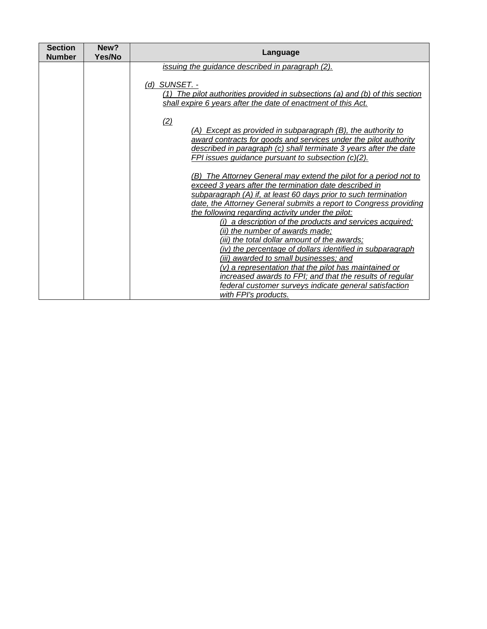| <b>Section</b><br><b>Number</b> | New?<br>Yes/No | Language                                                                                                                                                                                                                                                                                                                                                                                                                                                                                                                                                                                                                                                                                                                                                                              |
|---------------------------------|----------------|---------------------------------------------------------------------------------------------------------------------------------------------------------------------------------------------------------------------------------------------------------------------------------------------------------------------------------------------------------------------------------------------------------------------------------------------------------------------------------------------------------------------------------------------------------------------------------------------------------------------------------------------------------------------------------------------------------------------------------------------------------------------------------------|
|                                 |                | issuing the guidance described in paragraph (2).                                                                                                                                                                                                                                                                                                                                                                                                                                                                                                                                                                                                                                                                                                                                      |
|                                 |                | (d) SUNSET. -<br>(1) The pilot authorities provided in subsections (a) and (b) of this section<br>shall expire 6 years after the date of enactment of this Act.                                                                                                                                                                                                                                                                                                                                                                                                                                                                                                                                                                                                                       |
|                                 |                | (2)                                                                                                                                                                                                                                                                                                                                                                                                                                                                                                                                                                                                                                                                                                                                                                                   |
|                                 |                | (A) Except as provided in subparagraph (B), the authority to                                                                                                                                                                                                                                                                                                                                                                                                                                                                                                                                                                                                                                                                                                                          |
|                                 |                | award contracts for goods and services under the pilot authority<br>described in paragraph (c) shall terminate 3 years after the date                                                                                                                                                                                                                                                                                                                                                                                                                                                                                                                                                                                                                                                 |
|                                 |                | FPI issues guidance pursuant to subsection (c)(2).                                                                                                                                                                                                                                                                                                                                                                                                                                                                                                                                                                                                                                                                                                                                    |
|                                 |                | (B) The Attorney General may extend the pilot for a period not to<br>exceed 3 years after the termination date described in<br>subparagraph (A) if, at least 60 days prior to such termination<br>date, the Attorney General submits a report to Congress providing<br>the following regarding activity under the pilot:<br>(i) a description of the products and services acquired;<br>(ii) the number of awards made;<br>(iii) the total dollar amount of the awards;<br>(iv) the percentage of dollars identified in subparagraph<br>(iii) awarded to small businesses; and<br>(v) a representation that the pilot has maintained or<br>increased awards to FPI; and that the results of regular<br>federal customer surveys indicate general satisfaction<br>with FPI's products. |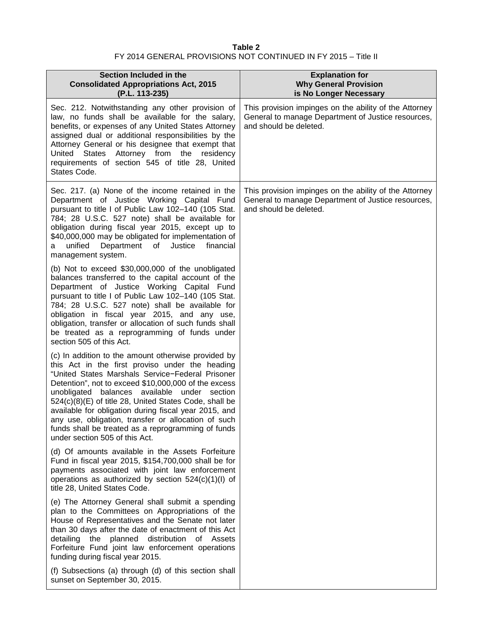# **Table 2** FY 2014 GENERAL PROVISIONS NOT CONTINUED IN FY 2015 – Title II

| Section Included in the<br><b>Consolidated Appropriations Act, 2015</b><br>(P.L. 113-235)                                                                                                                                                                                                                                                                                                                                                                                                                                            | <b>Explanation for</b><br><b>Why General Provision</b><br>is No Longer Necessary                                                       |
|--------------------------------------------------------------------------------------------------------------------------------------------------------------------------------------------------------------------------------------------------------------------------------------------------------------------------------------------------------------------------------------------------------------------------------------------------------------------------------------------------------------------------------------|----------------------------------------------------------------------------------------------------------------------------------------|
| Sec. 212. Notwithstanding any other provision of<br>law, no funds shall be available for the salary,<br>benefits, or expenses of any United States Attorney<br>assigned dual or additional responsibilities by the<br>Attorney General or his designee that exempt that<br>United<br><b>States</b><br>Attorney from the residency<br>requirements of section 545 of title 28, United<br>States Code.                                                                                                                                 | This provision impinges on the ability of the Attorney<br>General to manage Department of Justice resources,<br>and should be deleted. |
| Sec. 217. (a) None of the income retained in the<br>Department of Justice Working Capital Fund<br>pursuant to title I of Public Law 102-140 (105 Stat.<br>784; 28 U.S.C. 527 note) shall be available for<br>obligation during fiscal year 2015, except up to<br>\$40,000,000 may be obligated for implementation of<br>Department of Justice<br>financial<br>unified<br>a<br>management system.                                                                                                                                     | This provision impinges on the ability of the Attorney<br>General to manage Department of Justice resources,<br>and should be deleted. |
| (b) Not to exceed \$30,000,000 of the unobligated<br>balances transferred to the capital account of the<br>Department of Justice Working Capital Fund<br>pursuant to title I of Public Law 102-140 (105 Stat.<br>784; 28 U.S.C. 527 note) shall be available for<br>obligation in fiscal year 2015, and any use,<br>obligation, transfer or allocation of such funds shall<br>be treated as a reprogramming of funds under<br>section 505 of this Act.                                                                               |                                                                                                                                        |
| (c) In addition to the amount otherwise provided by<br>this Act in the first proviso under the heading<br>"United States Marshals Service-Federal Prisoner<br>Detention", not to exceed \$10,000,000 of the excess<br>unobligated balances available under section<br>524(c)(8)(E) of title 28, United States Code, shall be<br>available for obligation during fiscal year 2015, and<br>any use, obligation, transfer or allocation of such<br>funds shall be treated as a reprogramming of funds<br>under section 505 of this Act. |                                                                                                                                        |
| (d) Of amounts available in the Assets Forfeiture<br>Fund in fiscal year 2015, \$154,700,000 shall be for<br>payments associated with joint law enforcement<br>operations as authorized by section $524(c)(1)(l)$ of<br>title 28, United States Code.                                                                                                                                                                                                                                                                                |                                                                                                                                        |
| (e) The Attorney General shall submit a spending<br>plan to the Committees on Appropriations of the<br>House of Representatives and the Senate not later<br>than 30 days after the date of enactment of this Act<br>detailing the planned distribution of Assets<br>Forfeiture Fund joint law enforcement operations<br>funding during fiscal year 2015.                                                                                                                                                                             |                                                                                                                                        |
| (f) Subsections (a) through (d) of this section shall<br>sunset on September 30, 2015.                                                                                                                                                                                                                                                                                                                                                                                                                                               |                                                                                                                                        |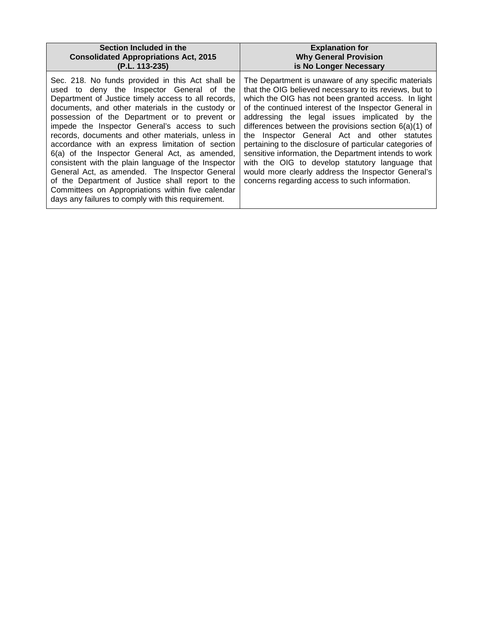| Section Included in the                                                                                                                                                                                                                                                                                                                                                                                                                                                                                                                                                                                                                                                                                                                       | <b>Explanation for</b>                                                                                                                                                                                                                                                                                                                                                                                                                                                                                                                                                                                                                                                    |
|-----------------------------------------------------------------------------------------------------------------------------------------------------------------------------------------------------------------------------------------------------------------------------------------------------------------------------------------------------------------------------------------------------------------------------------------------------------------------------------------------------------------------------------------------------------------------------------------------------------------------------------------------------------------------------------------------------------------------------------------------|---------------------------------------------------------------------------------------------------------------------------------------------------------------------------------------------------------------------------------------------------------------------------------------------------------------------------------------------------------------------------------------------------------------------------------------------------------------------------------------------------------------------------------------------------------------------------------------------------------------------------------------------------------------------------|
| <b>Consolidated Appropriations Act, 2015</b>                                                                                                                                                                                                                                                                                                                                                                                                                                                                                                                                                                                                                                                                                                  | <b>Why General Provision</b>                                                                                                                                                                                                                                                                                                                                                                                                                                                                                                                                                                                                                                              |
| (P.L. 113-235)                                                                                                                                                                                                                                                                                                                                                                                                                                                                                                                                                                                                                                                                                                                                | is No Longer Necessary                                                                                                                                                                                                                                                                                                                                                                                                                                                                                                                                                                                                                                                    |
| Sec. 218. No funds provided in this Act shall be<br>used to deny the Inspector General of the<br>Department of Justice timely access to all records,<br>documents, and other materials in the custody or<br>possession of the Department or to prevent or<br>impede the Inspector General's access to such<br>records, documents and other materials, unless in<br>accordance with an express limitation of section<br>6(a) of the Inspector General Act, as amended,<br>consistent with the plain language of the Inspector<br>General Act, as amended. The Inspector General<br>of the Department of Justice shall report to the<br>Committees on Appropriations within five calendar<br>days any failures to comply with this requirement. | The Department is unaware of any specific materials<br>that the OIG believed necessary to its reviews, but to<br>which the OIG has not been granted access. In light<br>of the continued interest of the Inspector General in<br>addressing the legal issues implicated by the<br>differences between the provisions section $6(a)(1)$ of<br>the Inspector General Act and other statutes<br>pertaining to the disclosure of particular categories of<br>sensitive information, the Department intends to work<br>with the OIG to develop statutory language that<br>would more clearly address the Inspector General's<br>concerns regarding access to such information. |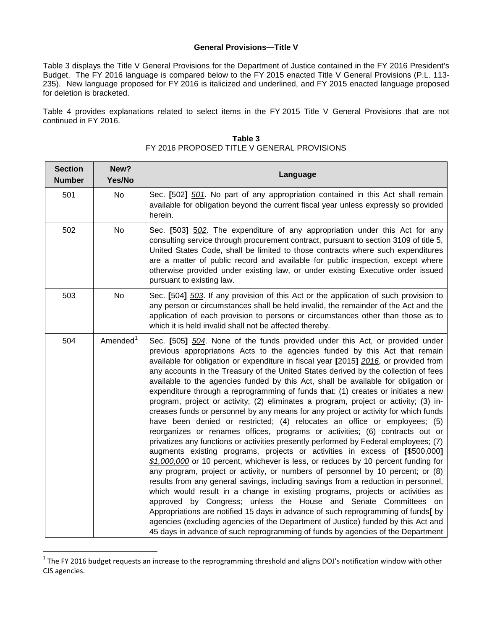### **General Provisions—Title V**

Table 3 displays the Title V General Provisions for the Department of Justice contained in the FY 2016 President's Budget. The FY 2016 language is compared below to the FY 2015 enacted Title V General Provisions (P.L. 113- 235). New language proposed for FY 2016 is italicized and underlined, and FY 2015 enacted language proposed for deletion is bracketed.

Table 4 provides explanations related to select items in the FY 2015 Title V General Provisions that are not continued in FY 2016.

| <b>Section</b><br><b>Number</b> | New?<br>Yes/No       | Language                                                                                                                                                                                                                                                                                                                                                                                                                                                                                                                                                                                                                                                                                                                                                                                                                                                                                                                                                                                                                                                                                                                                                                                                                                                                                                                                                                                                                                                                                                                                                                                                                                                                                                                  |
|---------------------------------|----------------------|---------------------------------------------------------------------------------------------------------------------------------------------------------------------------------------------------------------------------------------------------------------------------------------------------------------------------------------------------------------------------------------------------------------------------------------------------------------------------------------------------------------------------------------------------------------------------------------------------------------------------------------------------------------------------------------------------------------------------------------------------------------------------------------------------------------------------------------------------------------------------------------------------------------------------------------------------------------------------------------------------------------------------------------------------------------------------------------------------------------------------------------------------------------------------------------------------------------------------------------------------------------------------------------------------------------------------------------------------------------------------------------------------------------------------------------------------------------------------------------------------------------------------------------------------------------------------------------------------------------------------------------------------------------------------------------------------------------------------|
| 501                             | <b>No</b>            | Sec. [502] 501. No part of any appropriation contained in this Act shall remain<br>available for obligation beyond the current fiscal year unless expressly so provided<br>herein.                                                                                                                                                                                                                                                                                                                                                                                                                                                                                                                                                                                                                                                                                                                                                                                                                                                                                                                                                                                                                                                                                                                                                                                                                                                                                                                                                                                                                                                                                                                                        |
| 502                             | No                   | Sec. [503] 502. The expenditure of any appropriation under this Act for any<br>consulting service through procurement contract, pursuant to section 3109 of title 5,<br>United States Code, shall be limited to those contracts where such expenditures<br>are a matter of public record and available for public inspection, except where<br>otherwise provided under existing law, or under existing Executive order issued<br>pursuant to existing law.                                                                                                                                                                                                                                                                                                                                                                                                                                                                                                                                                                                                                                                                                                                                                                                                                                                                                                                                                                                                                                                                                                                                                                                                                                                                |
| 503                             | <b>No</b>            | Sec. [504] 503. If any provision of this Act or the application of such provision to<br>any person or circumstances shall be held invalid, the remainder of the Act and the<br>application of each provision to persons or circumstances other than those as to<br>which it is held invalid shall not be affected thereby.                                                                                                                                                                                                                                                                                                                                                                                                                                                                                                                                                                                                                                                                                                                                                                                                                                                                                                                                                                                                                                                                                                                                                                                                                                                                                                                                                                                                |
| 504                             | Amended <sup>1</sup> | Sec. [505] 504. None of the funds provided under this Act, or provided under<br>previous appropriations Acts to the agencies funded by this Act that remain<br>available for obligation or expenditure in fiscal year [2015] 2016, or provided from<br>any accounts in the Treasury of the United States derived by the collection of fees<br>available to the agencies funded by this Act, shall be available for obligation or<br>expenditure through a reprogramming of funds that: (1) creates or initiates a new<br>program, project or activity; (2) eliminates a program, project or activity; (3) in-<br>creases funds or personnel by any means for any project or activity for which funds<br>have been denied or restricted; (4) relocates an office or employees; (5)<br>reorganizes or renames offices, programs or activities; (6) contracts out or<br>privatizes any functions or activities presently performed by Federal employees; (7)<br>augments existing programs, projects or activities in excess of [\$500,000]<br>\$1,000,000 or 10 percent, whichever is less, or reduces by 10 percent funding for<br>any program, project or activity, or numbers of personnel by 10 percent; or (8)<br>results from any general savings, including savings from a reduction in personnel,<br>which would result in a change in existing programs, projects or activities as<br>approved by Congress; unless the House and Senate Committees on<br>Appropriations are notified 15 days in advance of such reprogramming of funds[ by<br>agencies (excluding agencies of the Department of Justice) funded by this Act and<br>45 days in advance of such reprogramming of funds by agencies of the Department |

**Table 3** FY 2016 PROPOSED TITLE V GENERAL PROVISIONS

 $\overline{\phantom{a}}$ 

<span id="page-8-0"></span> $1$ The FY 2016 budget requests an increase to the reprogramming threshold and aligns DOJ's notification window with other CJS agencies.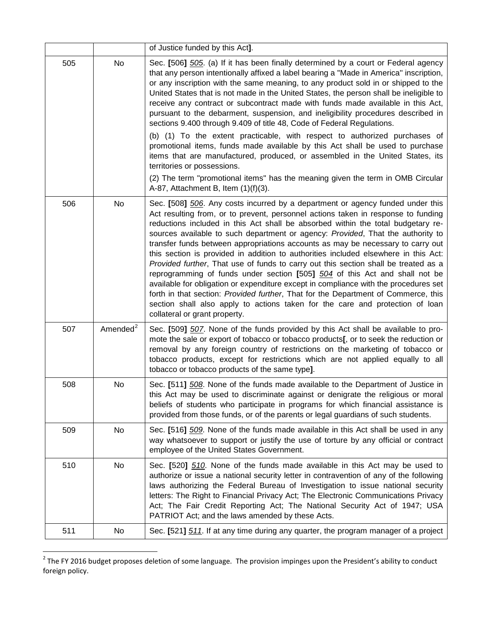|     |                      | of Justice funded by this Act].                                                                                                                                                                                                                                                                                                                                                                                                                                                                                                                                                                                                                                                                                                                                                                                                                                                                                                                                                            |
|-----|----------------------|--------------------------------------------------------------------------------------------------------------------------------------------------------------------------------------------------------------------------------------------------------------------------------------------------------------------------------------------------------------------------------------------------------------------------------------------------------------------------------------------------------------------------------------------------------------------------------------------------------------------------------------------------------------------------------------------------------------------------------------------------------------------------------------------------------------------------------------------------------------------------------------------------------------------------------------------------------------------------------------------|
| 505 | No                   | Sec. [506] 505. (a) If it has been finally determined by a court or Federal agency<br>that any person intentionally affixed a label bearing a "Made in America" inscription,<br>or any inscription with the same meaning, to any product sold in or shipped to the<br>United States that is not made in the United States, the person shall be ineligible to<br>receive any contract or subcontract made with funds made available in this Act,<br>pursuant to the debarment, suspension, and ineligibility procedures described in<br>sections 9.400 through 9.409 of title 48, Code of Federal Regulations.                                                                                                                                                                                                                                                                                                                                                                              |
|     |                      | (b) (1) To the extent practicable, with respect to authorized purchases of<br>promotional items, funds made available by this Act shall be used to purchase<br>items that are manufactured, produced, or assembled in the United States, its<br>territories or possessions.                                                                                                                                                                                                                                                                                                                                                                                                                                                                                                                                                                                                                                                                                                                |
|     |                      | (2) The term "promotional items" has the meaning given the term in OMB Circular<br>A-87, Attachment B, Item $(1)(f)(3)$ .                                                                                                                                                                                                                                                                                                                                                                                                                                                                                                                                                                                                                                                                                                                                                                                                                                                                  |
| 506 | No                   | Sec. [508] 506. Any costs incurred by a department or agency funded under this<br>Act resulting from, or to prevent, personnel actions taken in response to funding<br>reductions included in this Act shall be absorbed within the total budgetary re-<br>sources available to such department or agency: Provided, That the authority to<br>transfer funds between appropriations accounts as may be necessary to carry out<br>this section is provided in addition to authorities included elsewhere in this Act:<br>Provided further, That use of funds to carry out this section shall be treated as a<br>reprogramming of funds under section [505] 504 of this Act and shall not be<br>available for obligation or expenditure except in compliance with the procedures set<br>forth in that section: Provided further, That for the Department of Commerce, this<br>section shall also apply to actions taken for the care and protection of loan<br>collateral or grant property. |
| 507 | Amended <sup>2</sup> | Sec. [509] 507. None of the funds provided by this Act shall be available to pro-<br>mote the sale or export of tobacco or tobacco products[, or to seek the reduction or<br>removal by any foreign country of restrictions on the marketing of tobacco or<br>tobacco products, except for restrictions which are not applied equally to all<br>tobacco or tobacco products of the same type].                                                                                                                                                                                                                                                                                                                                                                                                                                                                                                                                                                                             |
| 508 | No                   | Sec. [511] 508. None of the funds made available to the Department of Justice in<br>this Act may be used to discriminate against or denigrate the religious or moral<br>beliefs of students who participate in programs for which financial assistance is<br>provided from those funds, or of the parents or legal guardians of such students.                                                                                                                                                                                                                                                                                                                                                                                                                                                                                                                                                                                                                                             |
| 509 | No                   | Sec. [516] 509. None of the funds made available in this Act shall be used in any<br>way whatsoever to support or justify the use of torture by any official or contract<br>employee of the United States Government.                                                                                                                                                                                                                                                                                                                                                                                                                                                                                                                                                                                                                                                                                                                                                                      |
| 510 | No                   | Sec. [520] 510. None of the funds made available in this Act may be used to<br>authorize or issue a national security letter in contravention of any of the following<br>laws authorizing the Federal Bureau of Investigation to issue national security<br>letters: The Right to Financial Privacy Act; The Electronic Communications Privacy<br>Act; The Fair Credit Reporting Act; The National Security Act of 1947; USA<br>PATRIOT Act; and the laws amended by these Acts.                                                                                                                                                                                                                                                                                                                                                                                                                                                                                                           |
| 511 | No                   | Sec. [521] 511. If at any time during any quarter, the program manager of a project                                                                                                                                                                                                                                                                                                                                                                                                                                                                                                                                                                                                                                                                                                                                                                                                                                                                                                        |

<span id="page-9-0"></span> $^2$  The FY 2016 budget proposes deletion of some language. The provision impinges upon the President's ability to conduct foreign policy.

 $\overline{\phantom{a}}$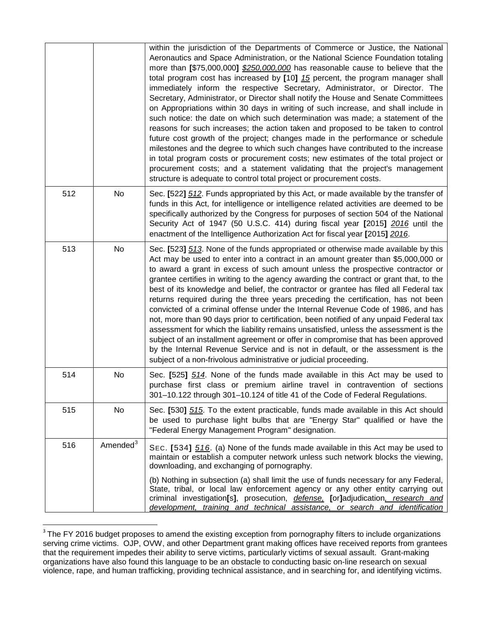|     |                      | within the jurisdiction of the Departments of Commerce or Justice, the National<br>Aeronautics and Space Administration, or the National Science Foundation totaling<br>more than [\$75,000,000] \$250,000,000 has reasonable cause to believe that the<br>total program cost has increased by [10] 15 percent, the program manager shall<br>immediately inform the respective Secretary, Administrator, or Director. The<br>Secretary, Administrator, or Director shall notify the House and Senate Committees<br>on Appropriations within 30 days in writing of such increase, and shall include in<br>such notice: the date on which such determination was made; a statement of the<br>reasons for such increases; the action taken and proposed to be taken to control<br>future cost growth of the project; changes made in the performance or schedule<br>milestones and the degree to which such changes have contributed to the increase<br>in total program costs or procurement costs; new estimates of the total project or<br>procurement costs; and a statement validating that the project's management<br>structure is adequate to control total project or procurement costs. |
|-----|----------------------|------------------------------------------------------------------------------------------------------------------------------------------------------------------------------------------------------------------------------------------------------------------------------------------------------------------------------------------------------------------------------------------------------------------------------------------------------------------------------------------------------------------------------------------------------------------------------------------------------------------------------------------------------------------------------------------------------------------------------------------------------------------------------------------------------------------------------------------------------------------------------------------------------------------------------------------------------------------------------------------------------------------------------------------------------------------------------------------------------------------------------------------------------------------------------------------------|
| 512 | No                   | Sec. [522] 512. Funds appropriated by this Act, or made available by the transfer of<br>funds in this Act, for intelligence or intelligence related activities are deemed to be<br>specifically authorized by the Congress for purposes of section 504 of the National<br>Security Act of 1947 (50 U.S.C. 414) during fiscal year [2015] 2016 until the<br>enactment of the Intelligence Authorization Act for fiscal year [2015] 2016.                                                                                                                                                                                                                                                                                                                                                                                                                                                                                                                                                                                                                                                                                                                                                        |
| 513 | No                   | Sec. [523] 513. None of the funds appropriated or otherwise made available by this<br>Act may be used to enter into a contract in an amount greater than \$5,000,000 or<br>to award a grant in excess of such amount unless the prospective contractor or<br>grantee certifies in writing to the agency awarding the contract or grant that, to the<br>best of its knowledge and belief, the contractor or grantee has filed all Federal tax<br>returns required during the three years preceding the certification, has not been<br>convicted of a criminal offense under the Internal Revenue Code of 1986, and has<br>not, more than 90 days prior to certification, been notified of any unpaid Federal tax<br>assessment for which the liability remains unsatisfied, unless the assessment is the<br>subject of an installment agreement or offer in compromise that has been approved<br>by the Internal Revenue Service and is not in default, or the assessment is the<br>subject of a non-frivolous administrative or judicial proceeding.                                                                                                                                           |
| 514 | No                   | Sec. [525] 514. None of the funds made available in this Act may be used to<br>purchase first class or premium airline travel in contravention of sections<br>301-10.122 through 301-10.124 of title 41 of the Code of Federal Regulations.                                                                                                                                                                                                                                                                                                                                                                                                                                                                                                                                                                                                                                                                                                                                                                                                                                                                                                                                                    |
| 515 | No                   | Sec. [530] 515. To the extent practicable, funds made available in this Act should<br>be used to purchase light bulbs that are "Energy Star" qualified or have the<br>"Federal Energy Management Program" designation.                                                                                                                                                                                                                                                                                                                                                                                                                                                                                                                                                                                                                                                                                                                                                                                                                                                                                                                                                                         |
| 516 | Amended <sup>3</sup> | SEC. [534] 516. (a) None of the funds made available in this Act may be used to<br>maintain or establish a computer network unless such network blocks the viewing,<br>downloading, and exchanging of pornography.<br>(b) Nothing in subsection (a) shall limit the use of funds necessary for any Federal,<br>State, tribal, or local law enforcement agency or any other entity carrying out<br>criminal investigation[s], prosecution, <i>defense</i> , [or]adjudication, research and<br>development, training and technical assistance, or search and identification                                                                                                                                                                                                                                                                                                                                                                                                                                                                                                                                                                                                                      |

<span id="page-10-0"></span> $3$  The FY 2016 budget proposes to amend the existing exception from pornography filters to include organizations serving crime victims. OJP, OVW, and other Department grant making offices have received reports from grantees that the requirement impedes their ability to serve victims, particularly victims of sexual assault. Grant-making organizations have also found this language to be an obstacle to conducting basic on-line research on sexual violence, rape, and human trafficking, providing technical assistance, and in searching for, and identifying victims.  $\overline{\phantom{a}}$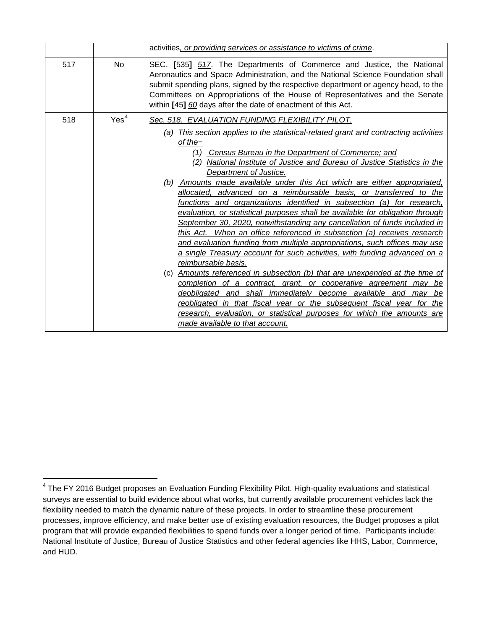|                         | activities, or providing services or assistance to victims of crime.                                                                                                                                                                                                                                                                                                                                                                                                                                                                                                                                                                                                                                                                                                                                                                                                                                                                                                                                                                                                                                                                                                                                                                                                                                                                                                                  |
|-------------------------|---------------------------------------------------------------------------------------------------------------------------------------------------------------------------------------------------------------------------------------------------------------------------------------------------------------------------------------------------------------------------------------------------------------------------------------------------------------------------------------------------------------------------------------------------------------------------------------------------------------------------------------------------------------------------------------------------------------------------------------------------------------------------------------------------------------------------------------------------------------------------------------------------------------------------------------------------------------------------------------------------------------------------------------------------------------------------------------------------------------------------------------------------------------------------------------------------------------------------------------------------------------------------------------------------------------------------------------------------------------------------------------|
| 517<br><b>No</b>        | SEC. [535] 517. The Departments of Commerce and Justice, the National<br>Aeronautics and Space Administration, and the National Science Foundation shall<br>submit spending plans, signed by the respective department or agency head, to the<br>Committees on Appropriations of the House of Representatives and the Senate<br>within [45] 60 days after the date of enactment of this Act.                                                                                                                                                                                                                                                                                                                                                                                                                                                                                                                                                                                                                                                                                                                                                                                                                                                                                                                                                                                          |
| Yes <sup>4</sup><br>518 | Sec. 518. EVALUATION FUNDING FLEXIBILITY PILOT.<br>(a) This section applies to the statistical-related grant and contracting activities<br>of the-<br>(1) Census Bureau in the Department of Commerce; and<br>National Institute of Justice and Bureau of Justice Statistics in the<br>(2)<br>Department of Justice.<br>(b) Amounts made available under this Act which are either appropriated,<br>allocated, advanced on a reimbursable basis, or transferred to the<br>functions and organizations identified in subsection (a) for research,<br>evaluation, or statistical purposes shall be available for obligation through<br>September 30, 2020, notwithstanding any cancellation of funds included in<br>this Act. When an office referenced in subsection (a) receives research<br>and evaluation funding from multiple appropriations, such offices may use<br>a single Treasury account for such activities, with funding advanced on a<br>reimbursable basis.<br>(c) Amounts referenced in subsection (b) that are unexpended at the time of<br>completion of a contract, grant, or cooperative agreement may be<br>deobligated and shall immediately become available and may be<br>reobligated in that fiscal year or the subsequent fiscal year for the<br>research, evaluation, or statistical purposes for which the amounts are<br>made available to that account. |

<span id="page-11-0"></span><sup>4</sup> The FY 2016 Budget proposes an Evaluation Funding Flexibility Pilot. High-quality evaluations and statistical surveys are essential to build evidence about what works, but currently available procurement vehicles lack the flexibility needed to match the dynamic nature of these projects. In order to streamline these procurement processes, improve efficiency, and make better use of existing evaluation resources, the Budget proposes a pilot program that will provide expanded flexibilities to spend funds over a longer period of time. Participants include: National Institute of Justice, Bureau of Justice Statistics and other federal agencies like HHS, Labor, Commerce, and HUD.  $\overline{\phantom{a}}$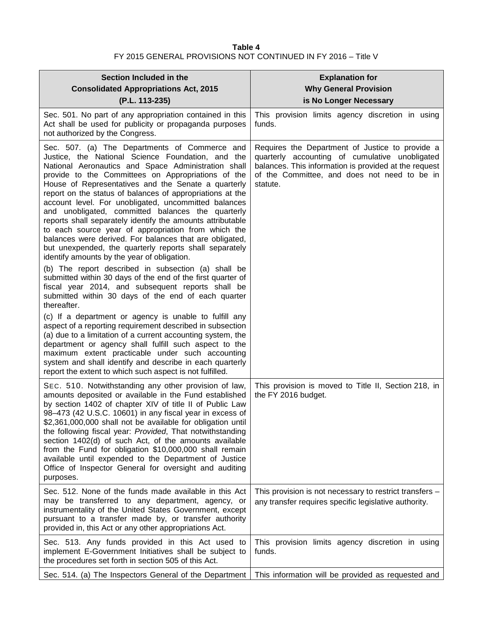## **Table 4** FY 2015 GENERAL PROVISIONS NOT CONTINUED IN FY 2016 – Title V

| Section Included in the<br><b>Consolidated Appropriations Act, 2015</b><br>(P.L. 113-235)                                                                                                                                                                                                                                                                                                                                                                                                                                                                                                                                                                                                                                                                                                        | <b>Explanation for</b><br><b>Why General Provision</b><br>is No Longer Necessary                                                                                                                                       |
|--------------------------------------------------------------------------------------------------------------------------------------------------------------------------------------------------------------------------------------------------------------------------------------------------------------------------------------------------------------------------------------------------------------------------------------------------------------------------------------------------------------------------------------------------------------------------------------------------------------------------------------------------------------------------------------------------------------------------------------------------------------------------------------------------|------------------------------------------------------------------------------------------------------------------------------------------------------------------------------------------------------------------------|
| Sec. 501. No part of any appropriation contained in this<br>Act shall be used for publicity or propaganda purposes<br>not authorized by the Congress.                                                                                                                                                                                                                                                                                                                                                                                                                                                                                                                                                                                                                                            | This provision limits agency discretion in using<br>funds.                                                                                                                                                             |
| Sec. 507. (a) The Departments of Commerce and<br>Justice, the National Science Foundation, and the<br>National Aeronautics and Space Administration shall<br>provide to the Committees on Appropriations of the<br>House of Representatives and the Senate a quarterly<br>report on the status of balances of appropriations at the<br>account level. For unobligated, uncommitted balances<br>and unobligated, committed balances the quarterly<br>reports shall separately identify the amounts attributable<br>to each source year of appropriation from which the<br>balances were derived. For balances that are obligated,<br>but unexpended, the quarterly reports shall separately<br>identify amounts by the year of obligation.<br>(b) The report described in subsection (a) shall be | Requires the Department of Justice to provide a<br>quarterly accounting of cumulative unobligated<br>balances. This information is provided at the request<br>of the Committee, and does not need to be in<br>statute. |
| submitted within 30 days of the end of the first quarter of<br>fiscal year 2014, and subsequent reports shall be<br>submitted within 30 days of the end of each quarter<br>thereafter.                                                                                                                                                                                                                                                                                                                                                                                                                                                                                                                                                                                                           |                                                                                                                                                                                                                        |
| (c) If a department or agency is unable to fulfill any<br>aspect of a reporting requirement described in subsection<br>(a) due to a limitation of a current accounting system, the<br>department or agency shall fulfill such aspect to the<br>maximum extent practicable under such accounting<br>system and shall identify and describe in each quarterly<br>report the extent to which such aspect is not fulfilled.                                                                                                                                                                                                                                                                                                                                                                          |                                                                                                                                                                                                                        |
| SEC. 510. Notwithstanding any other provision of law,<br>amounts deposited or available in the Fund established<br>by section 1402 of chapter XIV of title II of Public Law<br>98-473 (42 U.S.C. 10601) in any fiscal year in excess of<br>\$2,361,000,000 shall not be available for obligation until<br>the following fiscal year: Provided, That notwithstanding<br>section 1402(d) of such Act, of the amounts available<br>from the Fund for obligation \$10,000,000 shall remain<br>available until expended to the Department of Justice<br>Office of Inspector General for oversight and auditing<br>purposes.                                                                                                                                                                           | This provision is moved to Title II, Section 218, in<br>the FY 2016 budget.                                                                                                                                            |
| Sec. 512. None of the funds made available in this Act<br>may be transferred to any department, agency, or<br>instrumentality of the United States Government, except<br>pursuant to a transfer made by, or transfer authority<br>provided in, this Act or any other appropriations Act.                                                                                                                                                                                                                                                                                                                                                                                                                                                                                                         | This provision is not necessary to restrict transfers -<br>any transfer requires specific legislative authority.                                                                                                       |
| Sec. 513. Any funds provided in this Act used to<br>implement E-Government Initiatives shall be subject to<br>the procedures set forth in section 505 of this Act.                                                                                                                                                                                                                                                                                                                                                                                                                                                                                                                                                                                                                               | This provision limits agency discretion in using<br>funds.                                                                                                                                                             |
| Sec. 514. (a) The Inspectors General of the Department                                                                                                                                                                                                                                                                                                                                                                                                                                                                                                                                                                                                                                                                                                                                           | This information will be provided as requested and                                                                                                                                                                     |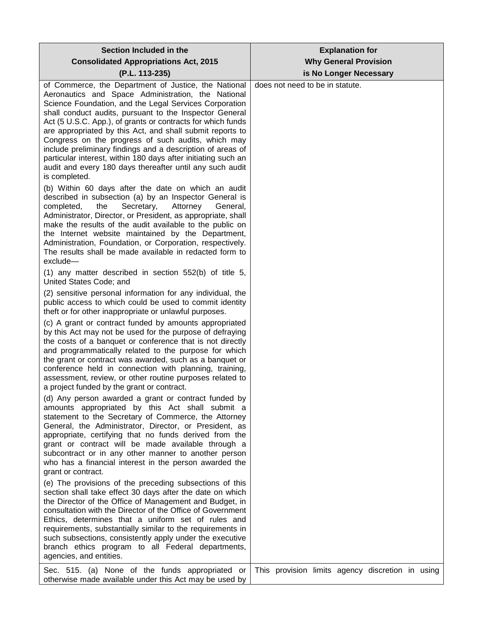| Section Included in the                                                                                                                                                                                                                                                                                                                                                                                                                                                                                                                                                                                                       | <b>Explanation for</b><br><b>Why General Provision</b> |
|-------------------------------------------------------------------------------------------------------------------------------------------------------------------------------------------------------------------------------------------------------------------------------------------------------------------------------------------------------------------------------------------------------------------------------------------------------------------------------------------------------------------------------------------------------------------------------------------------------------------------------|--------------------------------------------------------|
| <b>Consolidated Appropriations Act, 2015</b><br>(P.L. 113-235)                                                                                                                                                                                                                                                                                                                                                                                                                                                                                                                                                                | is No Longer Necessary                                 |
| of Commerce, the Department of Justice, the National<br>Aeronautics and Space Administration, the National<br>Science Foundation, and the Legal Services Corporation<br>shall conduct audits, pursuant to the Inspector General<br>Act (5 U.S.C. App.), of grants or contracts for which funds<br>are appropriated by this Act, and shall submit reports to<br>Congress on the progress of such audits, which may<br>include preliminary findings and a description of areas of<br>particular interest, within 180 days after initiating such an<br>audit and every 180 days thereafter until any such audit<br>is completed. | does not need to be in statute.                        |
| (b) Within 60 days after the date on which an audit<br>described in subsection (a) by an Inspector General is<br>Secretary,<br>Attorney<br>completed,<br>the<br>General,<br>Administrator, Director, or President, as appropriate, shall<br>make the results of the audit available to the public on<br>the Internet website maintained by the Department,<br>Administration, Foundation, or Corporation, respectively.<br>The results shall be made available in redacted form to<br>exclude-<br>$(1)$ any matter described in section 552(b) of title 5,                                                                    |                                                        |
| United States Code; and                                                                                                                                                                                                                                                                                                                                                                                                                                                                                                                                                                                                       |                                                        |
| (2) sensitive personal information for any individual, the<br>public access to which could be used to commit identity<br>theft or for other inappropriate or unlawful purposes.                                                                                                                                                                                                                                                                                                                                                                                                                                               |                                                        |
| (c) A grant or contract funded by amounts appropriated<br>by this Act may not be used for the purpose of defraying<br>the costs of a banquet or conference that is not directly<br>and programmatically related to the purpose for which<br>the grant or contract was awarded, such as a banquet or<br>conference held in connection with planning, training,<br>assessment, review, or other routine purposes related to<br>a project funded by the grant or contract.                                                                                                                                                       |                                                        |
| (d) Any person awarded a grant or contract funded by<br>amounts appropriated by this Act shall submit a<br>statement to the Secretary of Commerce, the Attorney<br>General, the Administrator, Director, or President, as<br>appropriate, certifying that no funds derived from the<br>grant or contract will be made available through a<br>subcontract or in any other manner to another person<br>who has a financial interest in the person awarded the<br>grant or contract.                                                                                                                                             |                                                        |
| (e) The provisions of the preceding subsections of this<br>section shall take effect 30 days after the date on which<br>the Director of the Office of Management and Budget, in<br>consultation with the Director of the Office of Government<br>Ethics, determines that a uniform set of rules and<br>requirements, substantially similar to the requirements in<br>such subsections, consistently apply under the executive<br>branch ethics program to all Federal departments,<br>agencies, and entities.                                                                                                                 |                                                        |
| Sec. 515. (a) None of the funds appropriated or<br>otherwise made available under this Act may be used by                                                                                                                                                                                                                                                                                                                                                                                                                                                                                                                     | This provision limits agency discretion in using       |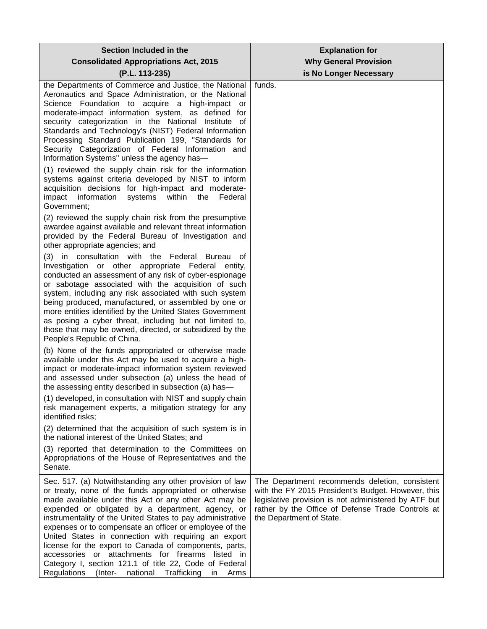| Section Included in the<br><b>Consolidated Appropriations Act, 2015</b>                                                                                                                                                                                                                                                                                                                                                                                                                                                                                                                                                                                       | <b>Explanation for</b><br><b>Why General Provision</b>                                                                                                                                                                                        |
|---------------------------------------------------------------------------------------------------------------------------------------------------------------------------------------------------------------------------------------------------------------------------------------------------------------------------------------------------------------------------------------------------------------------------------------------------------------------------------------------------------------------------------------------------------------------------------------------------------------------------------------------------------------|-----------------------------------------------------------------------------------------------------------------------------------------------------------------------------------------------------------------------------------------------|
| (P.L. 113-235)                                                                                                                                                                                                                                                                                                                                                                                                                                                                                                                                                                                                                                                | is No Longer Necessary                                                                                                                                                                                                                        |
| the Departments of Commerce and Justice, the National<br>Aeronautics and Space Administration, or the National<br>Science Foundation to acquire a high-impact or<br>moderate-impact information system, as defined for<br>security categorization in the National Institute of<br>Standards and Technology's (NIST) Federal Information<br>Processing Standard Publication 199, "Standards for<br>Security Categorization of Federal Information and<br>Information Systems" unless the agency has-                                                                                                                                                           | funds.                                                                                                                                                                                                                                        |
| (1) reviewed the supply chain risk for the information<br>systems against criteria developed by NIST to inform<br>acquisition decisions for high-impact and moderate-<br>impact information<br>systems<br>within<br>the<br>Federal<br>Government:                                                                                                                                                                                                                                                                                                                                                                                                             |                                                                                                                                                                                                                                               |
| (2) reviewed the supply chain risk from the presumptive<br>awardee against available and relevant threat information<br>provided by the Federal Bureau of Investigation and<br>other appropriate agencies; and                                                                                                                                                                                                                                                                                                                                                                                                                                                |                                                                                                                                                                                                                                               |
| (3) in consultation with the Federal Bureau of<br>Investigation or other appropriate Federal entity,<br>conducted an assessment of any risk of cyber-espionage<br>or sabotage associated with the acquisition of such<br>system, including any risk associated with such system<br>being produced, manufactured, or assembled by one or<br>more entities identified by the United States Government<br>as posing a cyber threat, including but not limited to,<br>those that may be owned, directed, or subsidized by the<br>People's Republic of China.                                                                                                      |                                                                                                                                                                                                                                               |
| (b) None of the funds appropriated or otherwise made<br>available under this Act may be used to acquire a high-<br>impact or moderate-impact information system reviewed<br>and assessed under subsection (a) unless the head of<br>the assessing entity described in subsection (a) has-                                                                                                                                                                                                                                                                                                                                                                     |                                                                                                                                                                                                                                               |
| (1) developed, in consultation with NIST and supply chain<br>risk management experts, a mitigation strategy for any<br>identified risks;                                                                                                                                                                                                                                                                                                                                                                                                                                                                                                                      |                                                                                                                                                                                                                                               |
| (2) determined that the acquisition of such system is in<br>the national interest of the United States; and                                                                                                                                                                                                                                                                                                                                                                                                                                                                                                                                                   |                                                                                                                                                                                                                                               |
| (3) reported that determination to the Committees on<br>Appropriations of the House of Representatives and the<br>Senate.                                                                                                                                                                                                                                                                                                                                                                                                                                                                                                                                     |                                                                                                                                                                                                                                               |
| Sec. 517. (a) Notwithstanding any other provision of law<br>or treaty, none of the funds appropriated or otherwise<br>made available under this Act or any other Act may be<br>expended or obligated by a department, agency, or<br>instrumentality of the United States to pay administrative<br>expenses or to compensate an officer or employee of the<br>United States in connection with requiring an export<br>license for the export to Canada of components, parts,<br>accessories or attachments for firearms listed in<br>Category I, section 121.1 of title 22, Code of Federal<br>Trafficking<br>Regulations<br>(Inter-<br>national<br>Arms<br>in | The Department recommends deletion, consistent<br>with the FY 2015 President's Budget. However, this<br>legislative provision is not administered by ATF but<br>rather by the Office of Defense Trade Controls at<br>the Department of State. |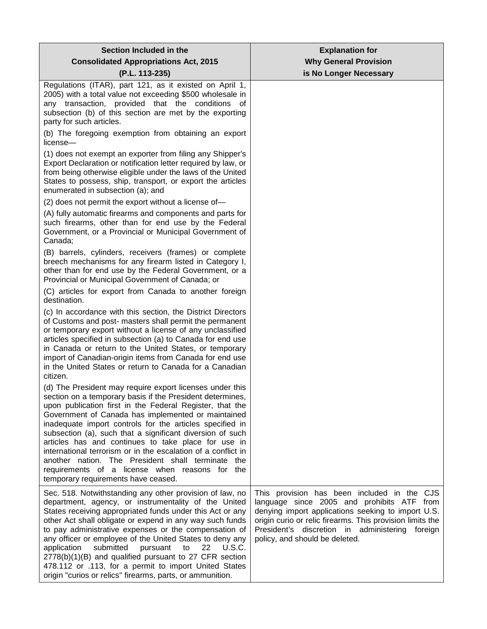| Section Included in the                                                                                                                                                                                                                                                                                                                                                                                                                                                                                                                                                                                                                | <b>Explanation for</b>                                                                                                                                                                                                                                                                               |
|----------------------------------------------------------------------------------------------------------------------------------------------------------------------------------------------------------------------------------------------------------------------------------------------------------------------------------------------------------------------------------------------------------------------------------------------------------------------------------------------------------------------------------------------------------------------------------------------------------------------------------------|------------------------------------------------------------------------------------------------------------------------------------------------------------------------------------------------------------------------------------------------------------------------------------------------------|
| <b>Consolidated Appropriations Act, 2015</b>                                                                                                                                                                                                                                                                                                                                                                                                                                                                                                                                                                                           | <b>Why General Provision</b>                                                                                                                                                                                                                                                                         |
| (P.L. 113-235)                                                                                                                                                                                                                                                                                                                                                                                                                                                                                                                                                                                                                         | is No Longer Necessary                                                                                                                                                                                                                                                                               |
| Regulations (ITAR), part 121, as it existed on April 1,<br>2005) with a total value not exceeding \$500 wholesale in<br>any transaction, provided that the conditions of<br>subsection (b) of this section are met by the exporting<br>party for such articles.                                                                                                                                                                                                                                                                                                                                                                        |                                                                                                                                                                                                                                                                                                      |
| (b) The foregoing exemption from obtaining an export<br>license-                                                                                                                                                                                                                                                                                                                                                                                                                                                                                                                                                                       |                                                                                                                                                                                                                                                                                                      |
| (1) does not exempt an exporter from filing any Shipper's<br>Export Declaration or notification letter required by law, or<br>from being otherwise eligible under the laws of the United<br>States to possess, ship, transport, or export the articles<br>enumerated in subsection (a); and                                                                                                                                                                                                                                                                                                                                            |                                                                                                                                                                                                                                                                                                      |
| (2) does not permit the export without a license of-                                                                                                                                                                                                                                                                                                                                                                                                                                                                                                                                                                                   |                                                                                                                                                                                                                                                                                                      |
| (A) fully automatic firearms and components and parts for<br>such firearms, other than for end use by the Federal<br>Government, or a Provincial or Municipal Government of<br>Canada;                                                                                                                                                                                                                                                                                                                                                                                                                                                 |                                                                                                                                                                                                                                                                                                      |
| (B) barrels, cylinders, receivers (frames) or complete<br>breech mechanisms for any firearm listed in Category I,<br>other than for end use by the Federal Government, or a<br>Provincial or Municipal Government of Canada; or                                                                                                                                                                                                                                                                                                                                                                                                        |                                                                                                                                                                                                                                                                                                      |
| (C) articles for export from Canada to another foreign<br>destination.                                                                                                                                                                                                                                                                                                                                                                                                                                                                                                                                                                 |                                                                                                                                                                                                                                                                                                      |
| (c) In accordance with this section, the District Directors<br>of Customs and post- masters shall permit the permanent<br>or temporary export without a license of any unclassified<br>articles specified in subsection (a) to Canada for end use<br>in Canada or return to the United States, or temporary<br>import of Canadian-origin items from Canada for end use<br>in the United States or return to Canada for a Canadian<br>citizen.                                                                                                                                                                                          |                                                                                                                                                                                                                                                                                                      |
| (d) The President may require export licenses under this<br>section on a temporary basis if the President determines,<br>upon publication first in the Federal Register, that the<br>Government of Canada has implemented or maintained<br>inadequate import controls for the articles specified in<br>subsection (a), such that a significant diversion of such<br>articles has and continues to take place for use in<br>international terrorism or in the escalation of a conflict in<br>another nation. The President shall terminate the<br>requirements of a license when reasons for the<br>temporary requirements have ceased. |                                                                                                                                                                                                                                                                                                      |
| Sec. 518. Notwithstanding any other provision of law, no<br>department, agency, or instrumentality of the United<br>States receiving appropriated funds under this Act or any<br>other Act shall obligate or expend in any way such funds<br>to pay administrative expenses or the compensation of<br>any officer or employee of the United States to deny any<br>submitted<br>22<br>application<br>pursuant<br>to<br>U.S.C.<br>2778(b)(1)(B) and qualified pursuant to 27 CFR section<br>478.112 or .113, for a permit to import United States<br>origin "curios or relics" firearms, parts, or ammunition.                           | This provision has been included in the CJS<br>language since 2005 and prohibits ATF from<br>denying import applications seeking to import U.S.<br>origin curio or relic firearms. This provision limits the<br>President's discretion in administering<br>foreign<br>policy, and should be deleted. |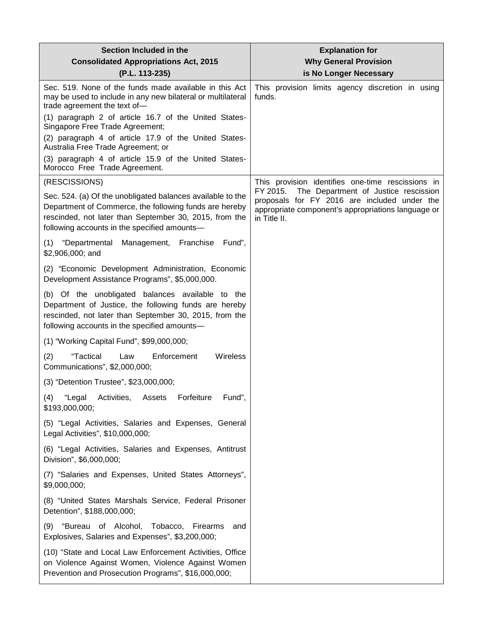| Section Included in the                                                                                                                                                                                                        | <b>Explanation for</b>                                                                                                                                                 |
|--------------------------------------------------------------------------------------------------------------------------------------------------------------------------------------------------------------------------------|------------------------------------------------------------------------------------------------------------------------------------------------------------------------|
| <b>Consolidated Appropriations Act, 2015</b><br>(P.L. 113-235)                                                                                                                                                                 | <b>Why General Provision</b><br>is No Longer Necessary                                                                                                                 |
| Sec. 519. None of the funds made available in this Act<br>may be used to include in any new bilateral or multilateral<br>trade agreement the text of-<br>(1) paragraph 2 of article 16.7 of the United States-                 | This provision limits agency discretion in using<br>funds.                                                                                                             |
| Singapore Free Trade Agreement;<br>(2) paragraph 4 of article 17.9 of the United States-                                                                                                                                       |                                                                                                                                                                        |
| Australia Free Trade Agreement; or<br>(3) paragraph 4 of article 15.9 of the United States-<br>Morocco Free Trade Agreement.                                                                                                   |                                                                                                                                                                        |
| (RESCISSIONS)                                                                                                                                                                                                                  | This provision identifies one-time rescissions in                                                                                                                      |
| Sec. 524. (a) Of the unobligated balances available to the<br>Department of Commerce, the following funds are hereby<br>rescinded, not later than September 30, 2015, from the<br>following accounts in the specified amounts- | FY 2015.<br>The Department of Justice rescission<br>proposals for FY 2016 are included under the<br>appropriate component's appropriations language or<br>in Title II. |
| (1) "Departmental<br>Franchise<br>Management,<br>Fund",<br>\$2,906,000; and                                                                                                                                                    |                                                                                                                                                                        |
| (2) "Economic Development Administration, Economic<br>Development Assistance Programs", \$5,000,000.                                                                                                                           |                                                                                                                                                                        |
| (b) Of the unobligated balances available to the<br>Department of Justice, the following funds are hereby<br>rescinded, not later than September 30, 2015, from the<br>following accounts in the specified amounts-            |                                                                                                                                                                        |
| (1) "Working Capital Fund", \$99,000,000;                                                                                                                                                                                      |                                                                                                                                                                        |
| "Tactical<br>Wireless<br>(2)<br>Law<br>Enforcement<br>Communications", \$2,000,000;                                                                                                                                            |                                                                                                                                                                        |
| (3) "Detention Trustee", \$23,000,000;                                                                                                                                                                                         |                                                                                                                                                                        |
| Fund".<br>(4)<br>"Legal Activities, Assets Forfeiture<br>\$193,000,000;                                                                                                                                                        |                                                                                                                                                                        |
| (5) "Legal Activities, Salaries and Expenses, General<br>Legal Activities", \$10,000,000;                                                                                                                                      |                                                                                                                                                                        |
| (6) "Legal Activities, Salaries and Expenses, Antitrust<br>Division", \$6,000,000;                                                                                                                                             |                                                                                                                                                                        |
| (7) "Salaries and Expenses, United States Attorneys",<br>\$9,000,000;                                                                                                                                                          |                                                                                                                                                                        |
| (8) "United States Marshals Service, Federal Prisoner<br>Detention", \$188,000,000;                                                                                                                                            |                                                                                                                                                                        |
| "Bureau of Alcohol, Tobacco, Firearms<br>(9)<br>and<br>Explosives, Salaries and Expenses", \$3,200,000;                                                                                                                        |                                                                                                                                                                        |
| (10) "State and Local Law Enforcement Activities, Office<br>on Violence Against Women, Violence Against Women<br>Prevention and Prosecution Programs", \$16,000,000;                                                           |                                                                                                                                                                        |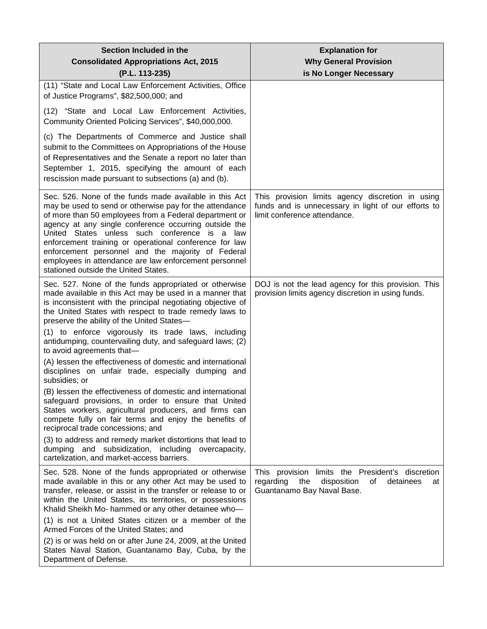| Section Included in the<br><b>Consolidated Appropriations Act, 2015</b><br>(P.L. 113-235)                                                                                                                                                                                                                                                                                                                                                                                                             | <b>Explanation for</b><br><b>Why General Provision</b><br>is No Longer Necessary                                                           |
|-------------------------------------------------------------------------------------------------------------------------------------------------------------------------------------------------------------------------------------------------------------------------------------------------------------------------------------------------------------------------------------------------------------------------------------------------------------------------------------------------------|--------------------------------------------------------------------------------------------------------------------------------------------|
| (11) "State and Local Law Enforcement Activities, Office<br>of Justice Programs", \$82,500,000; and                                                                                                                                                                                                                                                                                                                                                                                                   |                                                                                                                                            |
| (12) "State and Local Law Enforcement Activities,<br>Community Oriented Policing Services", \$40,000,000.                                                                                                                                                                                                                                                                                                                                                                                             |                                                                                                                                            |
| (c) The Departments of Commerce and Justice shall<br>submit to the Committees on Appropriations of the House<br>of Representatives and the Senate a report no later than<br>September 1, 2015, specifying the amount of each<br>rescission made pursuant to subsections (a) and (b).                                                                                                                                                                                                                  |                                                                                                                                            |
| Sec. 526. None of the funds made available in this Act<br>may be used to send or otherwise pay for the attendance<br>of more than 50 employees from a Federal department or<br>agency at any single conference occurring outside the<br>United States unless such conference is a law<br>enforcement training or operational conference for law<br>enforcement personnel and the majority of Federal<br>employees in attendance are law enforcement personnel<br>stationed outside the United States. | This provision limits agency discretion in using<br>funds and is unnecessary in light of our efforts to<br>limit conference attendance.    |
| Sec. 527. None of the funds appropriated or otherwise<br>made available in this Act may be used in a manner that<br>is inconsistent with the principal negotiating objective of<br>the United States with respect to trade remedy laws to<br>preserve the ability of the United States-                                                                                                                                                                                                               | DOJ is not the lead agency for this provision. This<br>provision limits agency discretion in using funds.                                  |
| (1) to enforce vigorously its trade laws, including<br>antidumping, countervailing duty, and safeguard laws; (2)<br>to avoid agreements that-                                                                                                                                                                                                                                                                                                                                                         |                                                                                                                                            |
| (A) lessen the effectiveness of domestic and international<br>disciplines on unfair trade, especially dumping and<br>subsidies; or                                                                                                                                                                                                                                                                                                                                                                    |                                                                                                                                            |
| (B) lessen the effectiveness of domestic and international<br>safeguard provisions, in order to ensure that United<br>States workers, agricultural producers, and firms can<br>compete fully on fair terms and enjoy the benefits of<br>reciprocal trade concessions; and                                                                                                                                                                                                                             |                                                                                                                                            |
| (3) to address and remedy market distortions that lead to<br>dumping and subsidization, including overcapacity,<br>cartelization, and market-access barriers.                                                                                                                                                                                                                                                                                                                                         |                                                                                                                                            |
| Sec. 528. None of the funds appropriated or otherwise<br>made available in this or any other Act may be used to<br>transfer, release, or assist in the transfer or release to or<br>within the United States, its territories, or possessions<br>Khalid Sheikh Mo- hammed or any other detainee who-<br>(1) is not a United States citizen or a member of the<br>Armed Forces of the United States; and<br>(2) is or was held on or after June 24, 2009, at the United                                | This provision limits the President's discretion<br>disposition<br>0f<br>detainees<br>regarding<br>the<br>at<br>Guantanamo Bay Naval Base. |
| States Naval Station, Guantanamo Bay, Cuba, by the<br>Department of Defense.                                                                                                                                                                                                                                                                                                                                                                                                                          |                                                                                                                                            |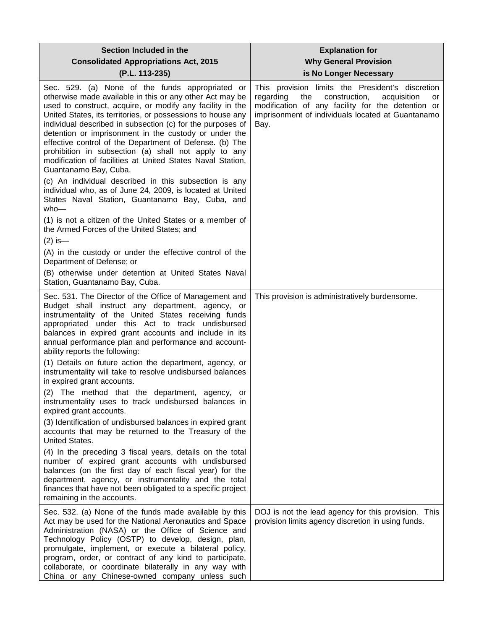| Section Included in the<br><b>Consolidated Appropriations Act, 2015</b><br>(P.L. 113-235)                                                                                                                                                                                                                                                                                                                                                                                                                                                                                                                                                                                                                                                                                                                                                                                                                                                                                                          | <b>Explanation for</b><br><b>Why General Provision</b><br>is No Longer Necessary                                                                                                                                             |
|----------------------------------------------------------------------------------------------------------------------------------------------------------------------------------------------------------------------------------------------------------------------------------------------------------------------------------------------------------------------------------------------------------------------------------------------------------------------------------------------------------------------------------------------------------------------------------------------------------------------------------------------------------------------------------------------------------------------------------------------------------------------------------------------------------------------------------------------------------------------------------------------------------------------------------------------------------------------------------------------------|------------------------------------------------------------------------------------------------------------------------------------------------------------------------------------------------------------------------------|
| Sec. 529. (a) None of the funds appropriated or<br>otherwise made available in this or any other Act may be<br>used to construct, acquire, or modify any facility in the<br>United States, its territories, or possessions to house any<br>individual described in subsection (c) for the purposes of<br>detention or imprisonment in the custody or under the<br>effective control of the Department of Defense. (b) The<br>prohibition in subsection (a) shall not apply to any<br>modification of facilities at United States Naval Station,<br>Guantanamo Bay, Cuba.<br>(c) An individual described in this subsection is any<br>individual who, as of June 24, 2009, is located at United<br>States Naval Station, Guantanamo Bay, Cuba, and<br>$who-$<br>(1) is not a citizen of the United States or a member of<br>the Armed Forces of the United States; and<br>$(2)$ is —<br>(A) in the custody or under the effective control of the<br>Department of Defense; or                       | This provision limits the President's discretion<br>regarding<br>the<br>construction,<br>acquisition<br>or<br>modification of any facility for the detention or<br>imprisonment of individuals located at Guantanamo<br>Bay. |
| (B) otherwise under detention at United States Naval<br>Station, Guantanamo Bay, Cuba.                                                                                                                                                                                                                                                                                                                                                                                                                                                                                                                                                                                                                                                                                                                                                                                                                                                                                                             |                                                                                                                                                                                                                              |
| Sec. 531. The Director of the Office of Management and<br>Budget shall instruct any department, agency, or<br>instrumentality of the United States receiving funds<br>appropriated under this Act to track undisbursed<br>balances in expired grant accounts and include in its<br>annual performance plan and performance and account-<br>ability reports the following:<br>(1) Details on future action the department, agency, or<br>instrumentality will take to resolve undisbursed balances<br>in expired grant accounts.<br>(2) The method that the department, agency, or<br>instrumentality uses to track undisbursed balances in<br>expired grant accounts.<br>(3) Identification of undisbursed balances in expired grant<br>accounts that may be returned to the Treasury of the<br><b>United States.</b><br>(4) In the preceding 3 fiscal years, details on the total<br>number of expired grant accounts with undisbursed<br>balances (on the first day of each fiscal year) for the | This provision is administratively burdensome.                                                                                                                                                                               |
| department, agency, or instrumentality and the total<br>finances that have not been obligated to a specific project<br>remaining in the accounts.                                                                                                                                                                                                                                                                                                                                                                                                                                                                                                                                                                                                                                                                                                                                                                                                                                                  |                                                                                                                                                                                                                              |
| Sec. 532. (a) None of the funds made available by this<br>Act may be used for the National Aeronautics and Space<br>Administration (NASA) or the Office of Science and<br>Technology Policy (OSTP) to develop, design, plan,<br>promulgate, implement, or execute a bilateral policy,<br>program, order, or contract of any kind to participate,<br>collaborate, or coordinate bilaterally in any way with<br>China or any Chinese-owned company unless such                                                                                                                                                                                                                                                                                                                                                                                                                                                                                                                                       | DOJ is not the lead agency for this provision. This<br>provision limits agency discretion in using funds.                                                                                                                    |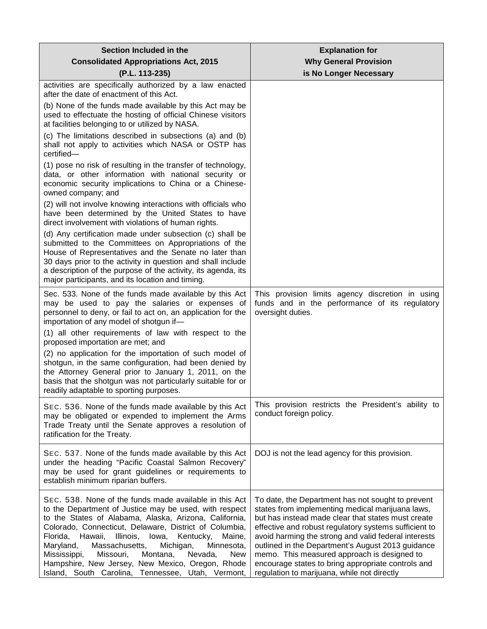| Section Included in the                                                                                                                                                                                                                                                                                                                                                                                                                                                                                                                 | <b>Explanation for</b>                                                                                                                                                                                                                                                                                                                                                                                                                                                                |
|-----------------------------------------------------------------------------------------------------------------------------------------------------------------------------------------------------------------------------------------------------------------------------------------------------------------------------------------------------------------------------------------------------------------------------------------------------------------------------------------------------------------------------------------|---------------------------------------------------------------------------------------------------------------------------------------------------------------------------------------------------------------------------------------------------------------------------------------------------------------------------------------------------------------------------------------------------------------------------------------------------------------------------------------|
| <b>Consolidated Appropriations Act, 2015</b>                                                                                                                                                                                                                                                                                                                                                                                                                                                                                            | <b>Why General Provision</b>                                                                                                                                                                                                                                                                                                                                                                                                                                                          |
| (P.L. 113-235)<br>activities are specifically authorized by a law enacted                                                                                                                                                                                                                                                                                                                                                                                                                                                               | is No Longer Necessary                                                                                                                                                                                                                                                                                                                                                                                                                                                                |
| after the date of enactment of this Act.                                                                                                                                                                                                                                                                                                                                                                                                                                                                                                |                                                                                                                                                                                                                                                                                                                                                                                                                                                                                       |
| (b) None of the funds made available by this Act may be<br>used to effectuate the hosting of official Chinese visitors<br>at facilities belonging to or utilized by NASA.                                                                                                                                                                                                                                                                                                                                                               |                                                                                                                                                                                                                                                                                                                                                                                                                                                                                       |
| (c) The limitations described in subsections (a) and (b)<br>shall not apply to activities which NASA or OSTP has<br>certified-                                                                                                                                                                                                                                                                                                                                                                                                          |                                                                                                                                                                                                                                                                                                                                                                                                                                                                                       |
| (1) pose no risk of resulting in the transfer of technology,<br>data, or other information with national security or<br>economic security implications to China or a Chinese-<br>owned company; and                                                                                                                                                                                                                                                                                                                                     |                                                                                                                                                                                                                                                                                                                                                                                                                                                                                       |
| (2) will not involve knowing interactions with officials who<br>have been determined by the United States to have<br>direct involvement with violations of human rights.                                                                                                                                                                                                                                                                                                                                                                |                                                                                                                                                                                                                                                                                                                                                                                                                                                                                       |
| (d) Any certification made under subsection (c) shall be<br>submitted to the Committees on Appropriations of the<br>House of Representatives and the Senate no later than<br>30 days prior to the activity in question and shall include<br>a description of the purpose of the activity, its agenda, its<br>major participants, and its location and timing.                                                                                                                                                                           |                                                                                                                                                                                                                                                                                                                                                                                                                                                                                       |
| Sec. 533. None of the funds made available by this Act<br>may be used to pay the salaries or expenses of<br>personnel to deny, or fail to act on, an application for the<br>importation of any model of shotgun if-                                                                                                                                                                                                                                                                                                                     | This provision limits agency discretion in using<br>funds and in the performance of its regulatory<br>oversight duties.                                                                                                                                                                                                                                                                                                                                                               |
| (1) all other requirements of law with respect to the<br>proposed importation are met; and                                                                                                                                                                                                                                                                                                                                                                                                                                              |                                                                                                                                                                                                                                                                                                                                                                                                                                                                                       |
| (2) no application for the importation of such model of<br>shotgun, in the same configuration, had been denied by<br>the Attorney General prior to January 1, 2011, on the<br>basis that the shotgun was not particularly suitable for or<br>readily adaptable to sporting purposes.                                                                                                                                                                                                                                                    |                                                                                                                                                                                                                                                                                                                                                                                                                                                                                       |
| SEC. 536. None of the funds made available by this Act<br>may be obligated or expended to implement the Arms<br>Trade Treaty until the Senate approves a resolution of<br>ratification for the Treaty.                                                                                                                                                                                                                                                                                                                                  | This provision restricts the President's ability to<br>conduct foreign policy.                                                                                                                                                                                                                                                                                                                                                                                                        |
| SEC. 537. None of the funds made available by this Act<br>under the heading "Pacific Coastal Salmon Recovery"<br>may be used for grant guidelines or requirements to<br>establish minimum riparian buffers.                                                                                                                                                                                                                                                                                                                             | DOJ is not the lead agency for this provision.                                                                                                                                                                                                                                                                                                                                                                                                                                        |
| SEC. 538. None of the funds made available in this Act<br>to the Department of Justice may be used, with respect<br>to the States of Alabama, Alaska, Arizona, California,<br>Colorado, Connecticut, Delaware, District of Columbia,<br>Illinois, Iowa,<br>Florida, Hawaii,<br>Kentucky,<br>Maine,<br>Massachusetts,<br>Michigan,<br>Maryland,<br>Minnesota,<br>Mississippi,<br>Missouri,<br>Montana,<br>Nevada,<br><b>New</b><br>Hampshire, New Jersey, New Mexico, Oregon, Rhode<br>Island, South Carolina, Tennessee, Utah, Vermont, | To date, the Department has not sought to prevent<br>states from implementing medical marijuana laws,<br>but has instead made clear that states must create<br>effective and robust regulatory systems sufficient to<br>avoid harming the strong and valid federal interests<br>outlined in the Department's August 2013 guidance<br>memo. This measured approach is designed to<br>encourage states to bring appropriate controls and<br>regulation to marijuana, while not directly |